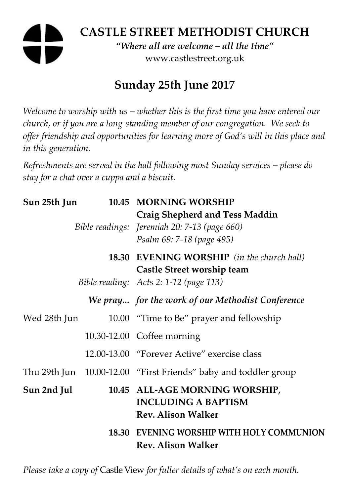# **CASTLE STREET METHODIST CHURCH**

*"Where all are welcome – all the time"*  www.castlestreet.org.uk

## **Sunday 25th June 2017**

*Welcome to worship with us – whether this is the first time you have entered our church, or if you are a long-standing member of our congregation. We seek to offer friendship and opportunities for learning more of God's will in this place and in this generation.* 

*Refreshments are served in the hall following most Sunday services – please do stay for a chat over a cuppa and a biscuit.* 

| Sun 25th Jun |  | 10.45 MORNING WORSHIP                                                                                              |
|--------------|--|--------------------------------------------------------------------------------------------------------------------|
|              |  | <b>Craig Shepherd and Tess Maddin</b><br>Bible readings: Jeremiah 20: 7-13 (page 660)<br>Psalm 69: 7-18 (page 495) |
|              |  | <b>18.30 EVENING WORSHIP</b> (in the church hall)<br>Castle Street worship team                                    |
|              |  | Bible reading: Acts 2: 1-12 (page 113)                                                                             |
|              |  | We pray for the work of our Methodist Conference                                                                   |
| Wed 28th Jun |  | 10.00 "Time to Be" prayer and fellowship                                                                           |
|              |  | 10.30-12.00 Coffee morning                                                                                         |
|              |  | 12.00-13.00 "Forever Active" exercise class                                                                        |
|              |  | Thu 29th Jun 10.00-12.00 "First Friends" baby and toddler group                                                    |
| Sun 2nd Jul  |  | 10.45 ALL-AGE MORNING WORSHIP,<br><b>INCLUDING A BAPTISM</b><br><b>Rev. Alison Walker</b>                          |
|              |  | 18.30 EVENING WORSHIP WITH HOLY COMMUNION<br><b>Rev. Alison Walker</b>                                             |

*Please take a copy of* Castle View *for fuller details of what's on each month.*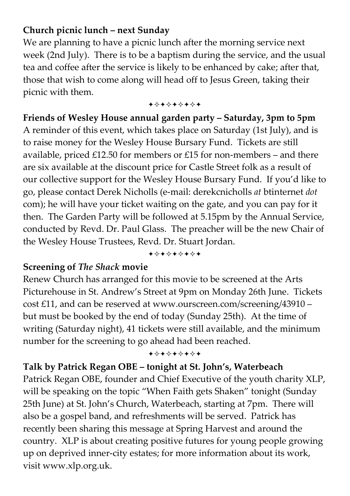#### **Church picnic lunch – next Sunday**

We are planning to have a picnic lunch after the morning service next week (2nd July). There is to be a baptism during the service, and the usual tea and coffee after the service is likely to be enhanced by cake; after that, those that wish to come along will head off to Jesus Green, taking their picnic with them.

+\*\*\*\*\*\*\*

#### **Friends of Wesley House annual garden party – Saturday, 3pm to 5pm**

A reminder of this event, which takes place on Saturday (1st July), and is to raise money for the Wesley House Bursary Fund. Tickets are still available, priced  $£12.50$  for members or  $£15$  for non-members – and there are six available at the discount price for Castle Street folk as a result of our collective support for the Wesley House Bursary Fund. If you'd like to go, please contact Derek Nicholls (e-mail: derekcnicholls *at* btinternet *dot* com); he will have your ticket waiting on the gate, and you can pay for it then. The Garden Party will be followed at 5.15pm by the Annual Service, conducted by Revd. Dr. Paul Glass. The preacher will be the new Chair of the Wesley House Trustees, Revd. Dr. Stuart Jordan.

+\*\*\*\*\*\*\*

#### **Screening of** *The Shack* **movie**

Renew Church has arranged for this movie to be screened at the Arts Picturehouse in St. Andrew's Street at 9pm on Monday 26th June. Tickets cost £11, and can be reserved at www.ourscreen.com/screening/43910 – but must be booked by the end of today (Sunday 25th). At the time of writing (Saturday night), 41 tickets were still available, and the minimum number for the screening to go ahead had been reached.

#### +\*\*\*\*\*\*\*

#### **Talk by Patrick Regan OBE – tonight at St. John's, Waterbeach**

Patrick Regan OBE, founder and Chief Executive of the youth charity XLP, will be speaking on the topic "When Faith gets Shaken" tonight (Sunday 25th June) at St. John's Church, Waterbeach, starting at 7pm. There will also be a gospel band, and refreshments will be served. Patrick has recently been sharing this message at Spring Harvest and around the country. XLP is about creating positive futures for young people growing up on deprived inner-city estates; for more information about its work, visit www.xlp.org.uk.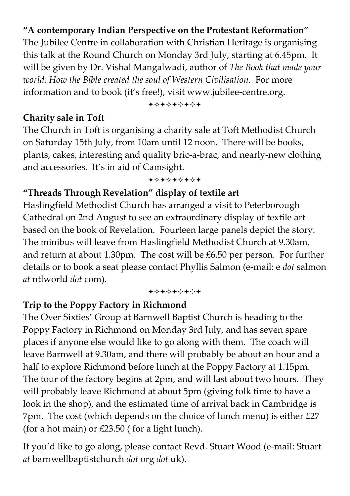### **"A contemporary Indian Perspective on the Protestant Reformation"**

The Jubilee Centre in collaboration with Christian Heritage is organising this talk at the Round Church on Monday 3rd July, starting at 6.45pm. It will be given by Dr. Vishal Mangalwadi, author of *The Book that made your world: How the Bible created the soul of Western Civilisation*. For more information and to book (it's free!), visit www.jubilee-centre.org.

#### **Charity sale in Toft**

+\*\*\*\*\*\*\*

The Church in Toft is organising a charity sale at Toft Methodist Church on Saturday 15th July, from 10am until 12 noon. There will be books, plants, cakes, interesting and quality bric-a-brac, and nearly-new clothing and accessories. It's in aid of Camsight.

#### +\*\*\*\*\*\*\*

### **"Threads Through Revelation" display of textile art**

Haslingfield Methodist Church has arranged a visit to Peterborough Cathedral on 2nd August to see an extraordinary display of textile art based on the book of Revelation. Fourteen large panels depict the story. The minibus will leave from Haslingfield Methodist Church at 9.30am, and return at about 1.30pm. The cost will be £6.50 per person. For further details or to book a seat please contact Phyllis Salmon (e-mail: e *dot* salmon *at* ntlworld *dot* com).

+\*\*\*\*\*\*\*

#### **Trip to the Poppy Factory in Richmond**

The Over Sixties' Group at Barnwell Baptist Church is heading to the Poppy Factory in Richmond on Monday 3rd July, and has seven spare places if anyone else would like to go along with them. The coach will leave Barnwell at 9.30am, and there will probably be about an hour and a half to explore Richmond before lunch at the Poppy Factory at 1.15pm. The tour of the factory begins at 2pm, and will last about two hours. They will probably leave Richmond at about 5pm (giving folk time to have a look in the shop), and the estimated time of arrival back in Cambridge is 7pm. The cost (which depends on the choice of lunch menu) is either £27 (for a hot main) or  $£23.50$  (for a light lunch).

If you'd like to go along, please contact Revd. Stuart Wood (e-mail: Stuart *at* barnwellbaptistchurch *dot* org *dot* uk).